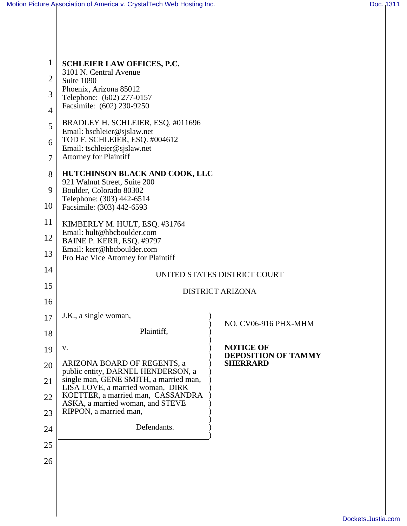| 1              | <b>SCHLEIER LAW OFFICES, P.C.</b>                                          |                                                |
|----------------|----------------------------------------------------------------------------|------------------------------------------------|
| $\overline{2}$ | 3101 N. Central Avenue<br>Suite 1090                                       |                                                |
| 3              | Phoenix, Arizona 85012<br>Telephone: (602) 277-0157                        |                                                |
| $\overline{4}$ | Facsimile: (602) 230-9250                                                  |                                                |
| 5              | BRADLEY H. SCHLEIER, ESQ. #011696<br>Email: bschleier@sjslaw.net           |                                                |
| 6              | TOD F. SCHLEIER, ESQ. #004612<br>Email: tschleier@sjslaw.net               |                                                |
| 7              | <b>Attorney for Plaintiff</b>                                              |                                                |
| 8              | <b>HUTCHINSON BLACK AND COOK, LLC</b><br>921 Walnut Street, Suite 200      |                                                |
| 9              | Boulder, Colorado 80302<br>Telephone: (303) 442-6514                       |                                                |
| 10             | Facsimile: (303) 442-6593                                                  |                                                |
| 11             | KIMBERLY M. HULT, ESQ. #31764<br>Email: hult@hbcboulder.com                |                                                |
| 12             | BAINE P. KERR, ESQ. #9797                                                  |                                                |
| 13             | Email: kerr@hbcboulder.com<br>Pro Hac Vice Attorney for Plaintiff          |                                                |
| 14             |                                                                            | UNITED STATES DISTRICT COURT                   |
| 15             | <b>DISTRICT ARIZONA</b>                                                    |                                                |
| 16             |                                                                            |                                                |
| 17             | J.K., a single woman,                                                      | NO. CV06-916 PHX-MHM                           |
| 18             | Plaintiff,                                                                 |                                                |
| 19             | V.                                                                         | <b>NOTICE OF</b><br><b>DEPOSITION OF TAMMY</b> |
| 20             | ARIZONA BOARD OF REGENTS, a<br>public entity, DARNEL HENDERSON, a          | <b>SHERRARD</b>                                |
| 21             | single man, GENE SMITH, a married man,<br>LISA LOVE, a married woman, DIRK |                                                |
| 22             | KOETTER, a married man, CASSANDRA<br>ASKA, a married woman, and STEVE      |                                                |
| 23             | RIPPON, a married man,                                                     |                                                |
| 24             | Defendants.                                                                |                                                |
| 25             |                                                                            |                                                |
| 26             |                                                                            |                                                |
|                |                                                                            |                                                |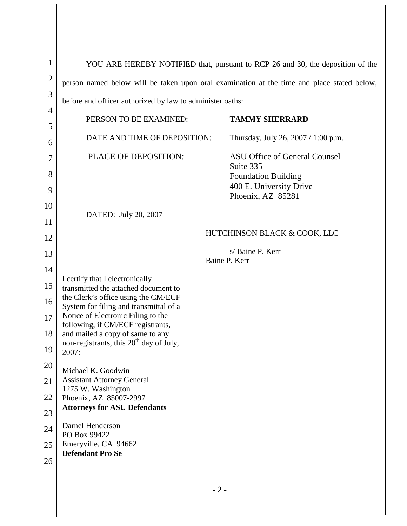| $\mathbf 1$    | YOU ARE HEREBY NOTIFIED that, pursuant to RCP 26 and 30, the deposition of the             |                                                       |  |
|----------------|--------------------------------------------------------------------------------------------|-------------------------------------------------------|--|
| $\overline{2}$ | person named below will be taken upon oral examination at the time and place stated below, |                                                       |  |
| 3              | before and officer authorized by law to administer oaths:                                  |                                                       |  |
| 4              | PERSON TO BE EXAMINED:                                                                     | <b>TAMMY SHERRARD</b>                                 |  |
| 5              | DATE AND TIME OF DEPOSITION:                                                               | Thursday, July 26, 2007 / 1:00 p.m.                   |  |
| 6              | PLACE OF DEPOSITION:                                                                       | ASU Office of General Counsel                         |  |
| 7<br>8         |                                                                                            | Suite 335                                             |  |
| 9              |                                                                                            | <b>Foundation Building</b><br>400 E. University Drive |  |
| 10             |                                                                                            | Phoenix, AZ 85281                                     |  |
| 11             | DATED: July 20, 2007                                                                       |                                                       |  |
| 12             | HUTCHINSON BLACK & COOK, LLC                                                               |                                                       |  |
| 13             | s/Baine P. Kerr                                                                            |                                                       |  |
| 14             | Baine P. Kerr                                                                              |                                                       |  |
| 15             | I certify that I electronically<br>transmitted the attached document to                    |                                                       |  |
| 16             | the Clerk's office using the CM/ECF<br>System for filing and transmittal of a              |                                                       |  |
| 17             | Notice of Electronic Filing to the<br>following, if CM/ECF registrants,                    |                                                       |  |
| 18             | and mailed a copy of same to any<br>non-registrants, this 20 <sup>th</sup> day of July,    |                                                       |  |
| 19             | 2007:                                                                                      |                                                       |  |
| 20             | Michael K. Goodwin                                                                         |                                                       |  |
| 21             | <b>Assistant Attorney General</b><br>1275 W. Washington                                    |                                                       |  |
| 22             | Phoenix, AZ 85007-2997<br><b>Attorneys for ASU Defendants</b>                              |                                                       |  |
| 23             | Darnel Henderson                                                                           |                                                       |  |
| 24             | PO Box 99422                                                                               |                                                       |  |
| 25             | Emeryville, CA 94662<br><b>Defendant Pro Se</b>                                            |                                                       |  |
| 26             |                                                                                            |                                                       |  |
|                | $-2-$                                                                                      |                                                       |  |